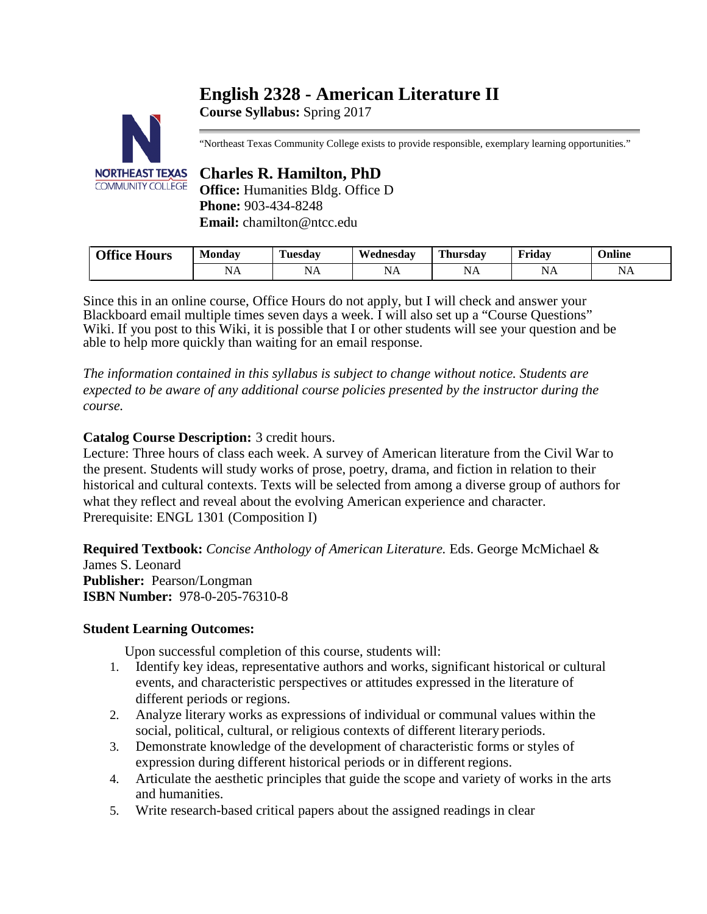# **English 2328 - American Literature II**

**Course Syllabus:** Spring 2017



"Northeast Texas Community College exists to provide responsible, exemplary learning opportunities."

# **Charles R. Hamilton, PhD**

**Office:** Humanities Bldg. Office D **Phone:** 903-434-8248 **Email:** chamilton@ntcc.edu

| <b>Office Hours</b> | Monday           | <b>CONTRACTOR</b><br>Tuesdav | Wednesdav          | <b>Thursday</b>                                          | Fridav      | $\mathbf{v}$<br>$\sim$<br>Jnline                                    |
|---------------------|------------------|------------------------------|--------------------|----------------------------------------------------------|-------------|---------------------------------------------------------------------|
|                     | . .<br>N<br>14 L | $-$<br>NA                    | $-$<br>N.<br>TALT. | $\sim$ $\sim$<br>ΝA<br>the control of the control of the | NL<br>TAT T | $\cdot$ $\cdot$<br>N<br>11 L T<br>the control of the control of the |

Since this in an online course, Office Hours do not apply, but I will check and answer your Blackboard email multiple times seven days a week. I will also set up a "Course Questions" Wiki. If you post to this Wiki, it is possible that I or other students will see your question and be able to help more quickly than waiting for an email response.

*The information contained in this syllabus is subject to change without notice. Students are expected to be aware of any additional course policies presented by the instructor during the course.*

# **Catalog Course Description:** 3 credit hours.

Lecture: Three hours of class each week. A survey of American literature from the Civil War to the present. Students will study works of prose, poetry, drama, and fiction in relation to their historical and cultural contexts. Texts will be selected from among a diverse group of authors for what they reflect and reveal about the evolving American experience and character. Prerequisite: ENGL 1301 (Composition I)

**Required Textbook:** *Concise Anthology of American Literature.* Eds. George McMichael & James S. Leonard **Publisher:** Pearson/Longman **ISBN Number:** 978-0-205-76310-8

# **Student Learning Outcomes:**

Upon successful completion of this course, students will:

- 1. Identify key ideas, representative authors and works, significant historical or cultural events, and characteristic perspectives or attitudes expressed in the literature of different periods or regions.
- 2. Analyze literary works as expressions of individual or communal values within the social, political, cultural, or religious contexts of different literary periods.
- 3. Demonstrate knowledge of the development of characteristic forms or styles of expression during different historical periods or in different regions.
- 4. Articulate the aesthetic principles that guide the scope and variety of works in the arts and humanities.
- 5. Write research-based critical papers about the assigned readings in clear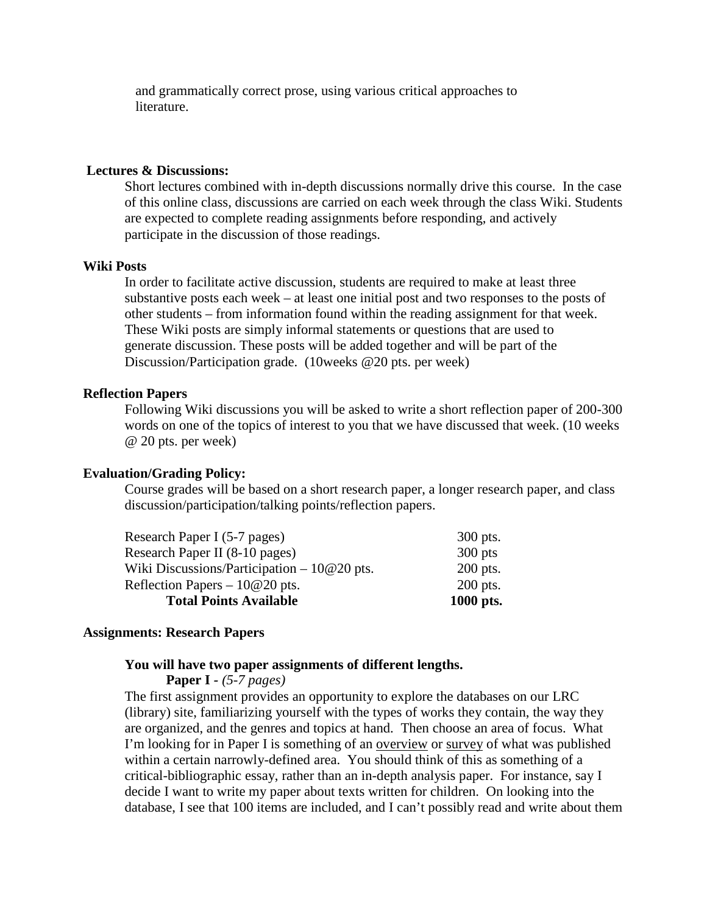and grammatically correct prose, using various critical approaches to literature.

# **Lectures & Discussions:**

Short lectures combined with in-depth discussions normally drive this course. In the case of this online class, discussions are carried on each week through the class Wiki. Students are expected to complete reading assignments before responding, and actively participate in the discussion of those readings.

# **Wiki Posts**

In order to facilitate active discussion, students are required to make at least three substantive posts each week – at least one initial post and two responses to the posts of other students – from information found within the reading assignment for that week. These Wiki posts are simply informal statements or questions that are used to generate discussion. These posts will be added together and will be part of the Discussion/Participation grade. (10weeks @20 pts. per week)

# **Reflection Papers**

Following Wiki discussions you will be asked to write a short reflection paper of 200-300 words on one of the topics of interest to you that we have discussed that week. (10 weeks @ 20 pts. per week)

### **Evaluation/Grading Policy:**

Course grades will be based on a short research paper, a longer research paper, and class discussion/participation/talking points/reflection papers.

| <b>Total Points Available</b>                | 1000 pts.  |
|----------------------------------------------|------------|
| Reflection Papers $-10@20$ pts.              | $200$ pts. |
| Wiki Discussions/Participation $-10@20$ pts. | $200$ pts. |
| Research Paper II (8-10 pages)               | $300$ pts  |
| Research Paper I (5-7 pages)                 | $300$ pts. |

# **Assignments: Research Papers**

# **You will have two paper assignments of different lengths.**

**Paper I** *- (5-7 pages)*

The first assignment provides an opportunity to explore the databases on our LRC (library) site, familiarizing yourself with the types of works they contain, the way they are organized, and the genres and topics at hand. Then choose an area of focus. What I'm looking for in Paper I is something of an overview or survey of what was published within a certain narrowly-defined area. You should think of this as something of a critical-bibliographic essay, rather than an in-depth analysis paper. For instance, say I decide I want to write my paper about texts written for children. On looking into the database, I see that 100 items are included, and I can't possibly read and write about them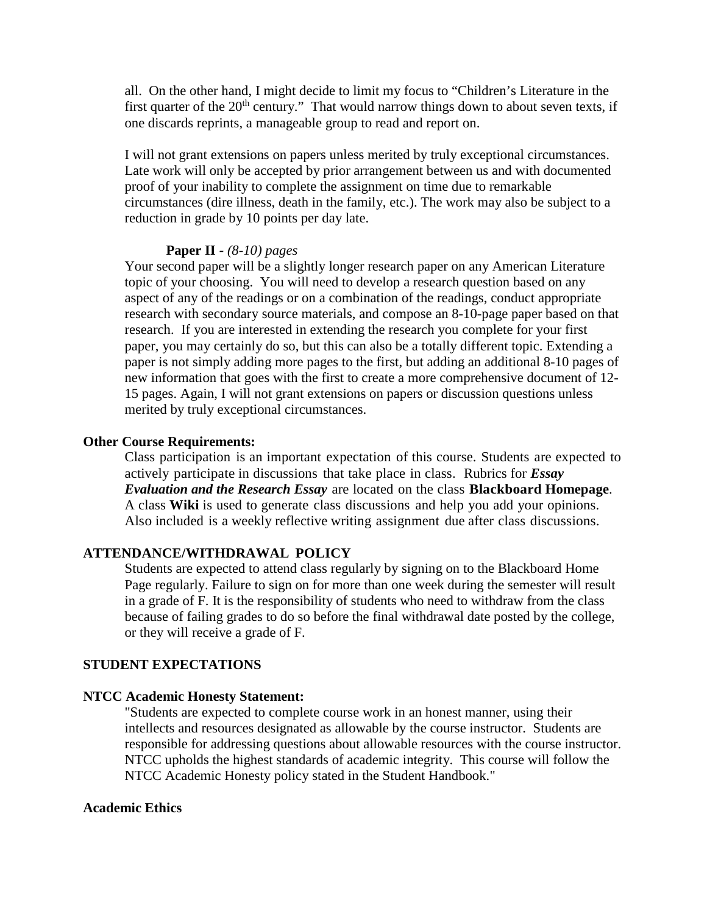all. On the other hand, I might decide to limit my focus to "Children's Literature in the first quarter of the  $20<sup>th</sup>$  century." That would narrow things down to about seven texts, if one discards reprints, a manageable group to read and report on.

I will not grant extensions on papers unless merited by truly exceptional circumstances. Late work will only be accepted by prior arrangement between us and with documented proof of your inability to complete the assignment on time due to remarkable circumstances (dire illness, death in the family, etc.). The work may also be subject to a reduction in grade by 10 points per day late.

# **Paper II** *- (8-10) pages*

Your second paper will be a slightly longer research paper on any American Literature topic of your choosing. You will need to develop a research question based on any aspect of any of the readings or on a combination of the readings, conduct appropriate research with secondary source materials, and compose an 8-10-page paper based on that research. If you are interested in extending the research you complete for your first paper, you may certainly do so, but this can also be a totally different topic. Extending a paper is not simply adding more pages to the first, but adding an additional 8-10 pages of new information that goes with the first to create a more comprehensive document of 12- 15 pages. Again, I will not grant extensions on papers or discussion questions unless merited by truly exceptional circumstances.

# **Other Course Requirements:**

Class participation is an important expectation of this course. Students are expected to actively participate in discussions that take place in class. Rubrics for *Essay Evaluation and the Research Essay* are located on the class **Blackboard Homepage**. A class **Wiki** is used to generate class discussions and help you add your opinions. Also included is a weekly reflective writing assignment due after class discussions.

# **ATTENDANCE/WITHDRAWAL POLICY**

Students are expected to attend class regularly by signing on to the Blackboard Home Page regularly. Failure to sign on for more than one week during the semester will result in a grade of F. It is the responsibility of students who need to withdraw from the class because of failing grades to do so before the final withdrawal date posted by the college, or they will receive a grade of F.

# **STUDENT EXPECTATIONS**

# **NTCC Academic Honesty Statement:**

"Students are expected to complete course work in an honest manner, using their intellects and resources designated as allowable by the course instructor. Students are responsible for addressing questions about allowable resources with the course instructor. NTCC upholds the highest standards of academic integrity. This course will follow the NTCC Academic Honesty policy stated in the Student Handbook."

# **Academic Ethics**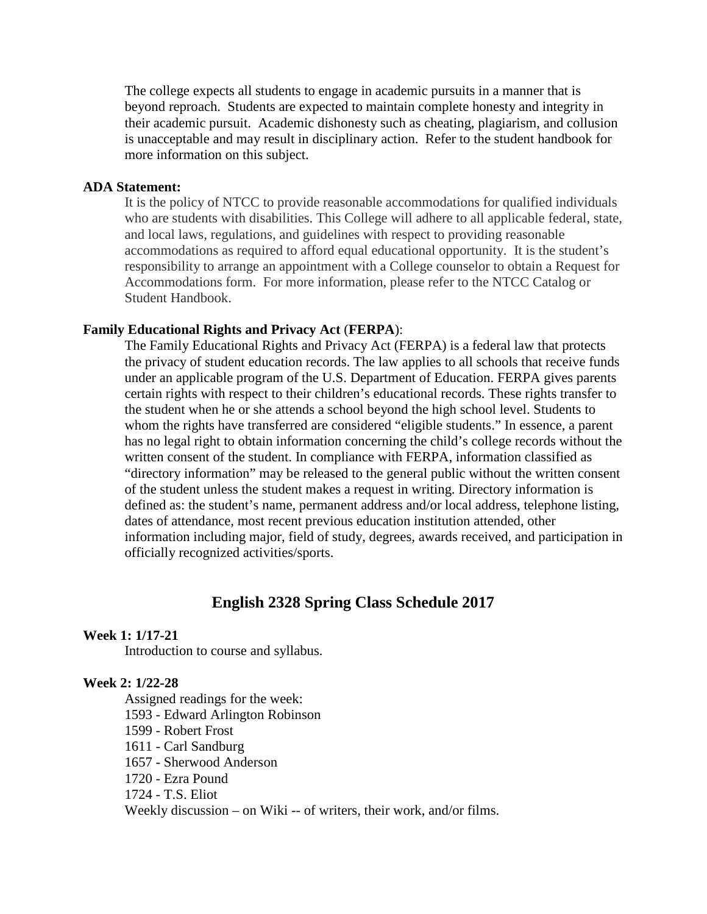The college expects all students to engage in academic pursuits in a manner that is beyond reproach. Students are expected to maintain complete honesty and integrity in their academic pursuit. Academic dishonesty such as cheating, plagiarism, and collusion is unacceptable and may result in disciplinary action. Refer to the student handbook for more information on this subject.

# **ADA Statement:**

It is the policy of NTCC to provide reasonable accommodations for qualified individuals who are students with disabilities. This College will adhere to all applicable federal, state, and local laws, regulations, and guidelines with respect to providing reasonable accommodations as required to afford equal educational opportunity. It is the student's responsibility to arrange an appointment with a College counselor to obtain a Request for Accommodations form. For more information, please refer to the NTCC Catalog or Student Handbook.

# **Family Educational Rights and Privacy Act** (**FERPA**):

The Family Educational Rights and Privacy Act (FERPA) is a federal law that protects the privacy of student education records. The law applies to all schools that receive funds under an applicable program of the U.S. Department of Education. FERPA gives parents certain rights with respect to their children's educational records. These rights transfer to the student when he or she attends a school beyond the high school level. Students to whom the rights have transferred are considered "eligible students." In essence, a parent has no legal right to obtain information concerning the child's college records without the written consent of the student. In compliance with FERPA, information classified as "directory information" may be released to the general public without the written consent of the student unless the student makes a request in writing. Directory information is defined as: the student's name, permanent address and/or local address, telephone listing, dates of attendance, most recent previous education institution attended, other information including major, field of study, degrees, awards received, and participation in officially recognized activities/sports.

# **English 2328 Spring Class Schedule 2017**

# **Week 1: 1/17-21**

Introduction to course and syllabus.

# **Week 2: 1/22-28**

Assigned readings for the week: 1593 - Edward Arlington Robinson 1599 - Robert Frost 1611 - Carl Sandburg 1657 - Sherwood Anderson 1720 - Ezra Pound

1724 - T.S. Eliot

Weekly discussion – on Wiki -- of writers, their work, and/or films.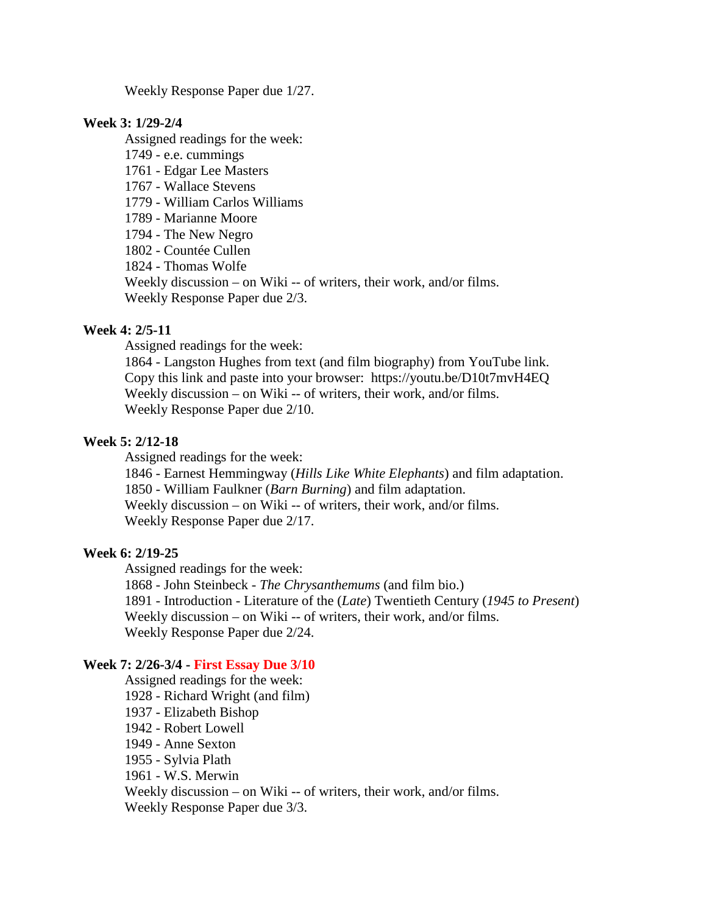Weekly Response Paper due 1/27.

#### **Week 3: 1/29-2/4**

Assigned readings for the week: 1749 - e.e. cummings 1761 - Edgar Lee Masters 1767 - Wallace Stevens 1779 - William Carlos Williams 1789 - Marianne Moore 1794 - The New Negro 1802 - Countée Cullen 1824 - Thomas Wolfe Weekly discussion – on Wiki -- of writers, their work, and/or films. Weekly Response Paper due 2/3.

# **Week 4: 2/5-11**

Assigned readings for the week:

1864 - Langston Hughes from text (and film biography) from YouTube link. Copy this link and paste into your browser: https://youtu.be/D10t7mvH4EQ Weekly discussion – on Wiki -- of writers, their work, and/or films. Weekly Response Paper due 2/10.

# **Week 5: 2/12-18**

Assigned readings for the week:

1846 - Earnest Hemmingway (*Hills Like White Elephants*) and film adaptation. 1850 - William Faulkner (*Barn Burning*) and film adaptation. Weekly discussion – on Wiki -- of writers, their work, and/or films. Weekly Response Paper due 2/17.

# **Week 6: 2/19-25**

Assigned readings for the week: 1868 - John Steinbeck - *The Chrysanthemums* (and film bio.) 1891 - Introduction - Literature of the (*Late*) Twentieth Century (*1945 to Present*) Weekly discussion – on Wiki -- of writers, their work, and/or films. Weekly Response Paper due 2/24.

# **Week 7: 2/26-3/4 - First Essay Due 3/10**

Assigned readings for the week: 1928 - Richard Wright (and film) 1937 - Elizabeth Bishop 1942 - Robert Lowell 1949 - Anne Sexton 1955 - Sylvia Plath 1961 - W.S. Merwin Weekly discussion – on Wiki -- of writers, their work, and/or films. Weekly Response Paper due 3/3.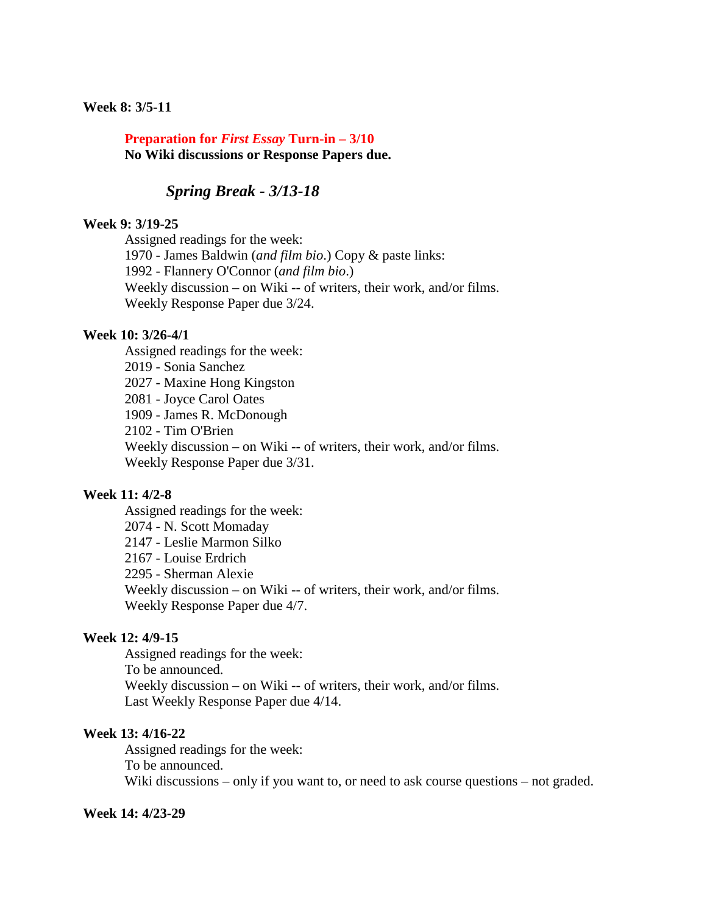### **Week 8: 3/5-11**

# **Preparation for** *First Essay* **Turn-in – 3/10 No Wiki discussions or Response Papers due.**

# *Spring Break - 3/13-18*

### **Week 9: 3/19-25**

Assigned readings for the week: 1970 - James Baldwin (*and film bio*.) Copy & paste links: 1992 - Flannery O'Connor (*and film bio*.) Weekly discussion – on Wiki -- of writers, their work, and/or films. Weekly Response Paper due 3/24.

### **Week 10: 3/26-4/1**

Assigned readings for the week: 2019 - Sonia Sanchez 2027 - Maxine Hong Kingston 2081 - Joyce Carol Oates 1909 - James R. McDonough 2102 - Tim O'Brien Weekly discussion – on Wiki -- of writers, their work, and/or films. Weekly Response Paper due 3/31.

# **Week 11: 4/2-8**

Assigned readings for the week: 2074 - N. Scott Momaday 2147 - Leslie Marmon Silko 2167 - Louise Erdrich 2295 - Sherman Alexie Weekly discussion – on Wiki -- of writers, their work, and/or films. Weekly Response Paper due 4/7.

#### **Week 12: 4/9-15**

Assigned readings for the week: To be announced. Weekly discussion – on Wiki -- of writers, their work, and/or films. Last Weekly Response Paper due 4/14.

#### **Week 13: 4/16-22**

Assigned readings for the week: To be announced. Wiki discussions – only if you want to, or need to ask course questions – not graded.

# **Week 14: 4/23-29**